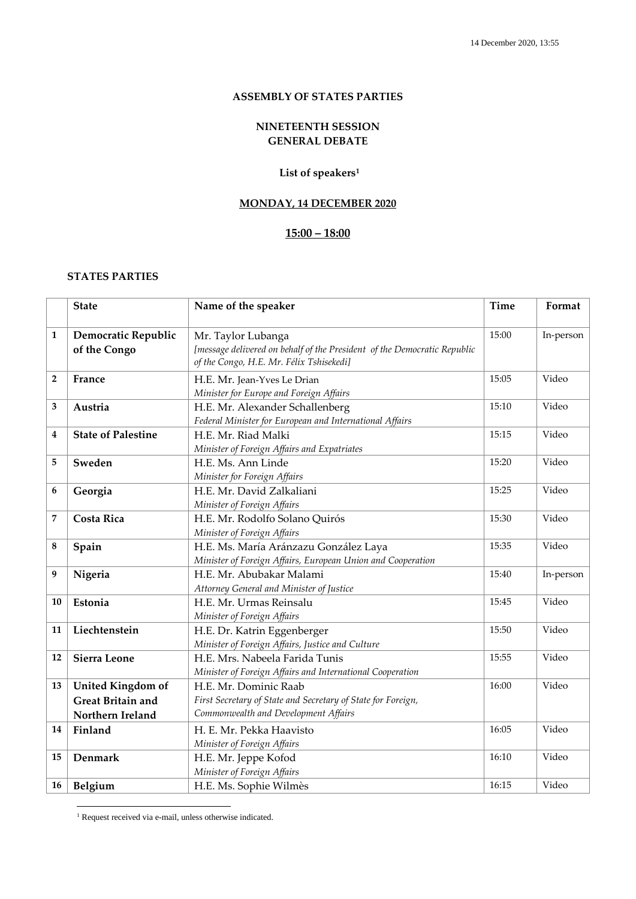#### **ASSEMBLY OF STATES PARTIES**

## **NINETEENTH SESSION GENERAL DEBATE**

## **List of speakers<sup>1</sup>**

## **MONDAY, 14 DECEMBER 2020**

# **15:00 – 18:00**

## **STATES PARTIES**

|                | <b>State</b>                                         | Name of the speaker                                                                                                                        | <b>Time</b> | Format    |
|----------------|------------------------------------------------------|--------------------------------------------------------------------------------------------------------------------------------------------|-------------|-----------|
| 1              | Democratic Republic<br>of the Congo                  | Mr. Taylor Lubanga<br>[message delivered on behalf of the President of the Democratic Republic<br>of the Congo, H.E. Mr. Félix Tshisekedi] | 15:00       | In-person |
| $\overline{2}$ | France                                               | H.E. Mr. Jean-Yves Le Drian<br>Minister for Europe and Foreign Affairs                                                                     | 15:05       | Video     |
| 3              | Austria                                              | H.E. Mr. Alexander Schallenberg<br>Federal Minister for European and International Affairs                                                 | 15:10       | Video     |
| 4              | <b>State of Palestine</b>                            | H.E. Mr. Riad Malki<br>Minister of Foreign Affairs and Expatriates                                                                         | 15:15       | Video     |
| 5              | Sweden                                               | H.E. Ms. Ann Linde<br>Minister for Foreign Affairs                                                                                         | 15:20       | Video     |
| 6              | Georgia                                              | H.E. Mr. David Zalkaliani<br>Minister of Foreign Affairs                                                                                   | 15:25       | Video     |
| 7              | <b>Costa Rica</b>                                    | H.E. Mr. Rodolfo Solano Quirós<br>Minister of Foreign Affairs                                                                              | 15:30       | Video     |
| 8              | Spain                                                | H.E. Ms. María Aránzazu González Laya<br>Minister of Foreign Affairs, European Union and Cooperation                                       | 15:35       | Video     |
| 9              | Nigeria                                              | H.E. Mr. Abubakar Malami<br>Attorney General and Minister of Justice                                                                       | 15:40       | In-person |
| 10             | Estonia                                              | H.E. Mr. Urmas Reinsalu<br>Minister of Foreign Affairs                                                                                     | 15:45       | Video     |
| 11             | Liechtenstein                                        | H.E. Dr. Katrin Eggenberger<br>Minister of Foreign Affairs, Justice and Culture                                                            | 15:50       | Video     |
| 12             | <b>Sierra Leone</b>                                  | H.E. Mrs. Nabeela Farida Tunis<br>Minister of Foreign Affairs and International Cooperation                                                | 15:55       | Video     |
| 13             | <b>United Kingdom of</b><br><b>Great Britain and</b> | H.E. Mr. Dominic Raab<br>First Secretary of State and Secretary of State for Foreign,                                                      | 16:00       | Video     |
|                | Northern Ireland                                     | Commonwealth and Development Affairs                                                                                                       |             |           |
| 14             | Finland                                              | H. E. Mr. Pekka Haavisto<br>Minister of Foreign Affairs                                                                                    | 16:05       | Video     |
| 15             | Denmark                                              | H.E. Mr. Jeppe Kofod<br>Minister of Foreign Affairs                                                                                        | 16:10       | Video     |
| 16             | Belgium                                              | H.E. Ms. Sophie Wilmès                                                                                                                     | 16:15       | Video     |

<sup>&</sup>lt;sup>1</sup> Request received via e-mail, unless otherwise indicated.

<u>.</u>